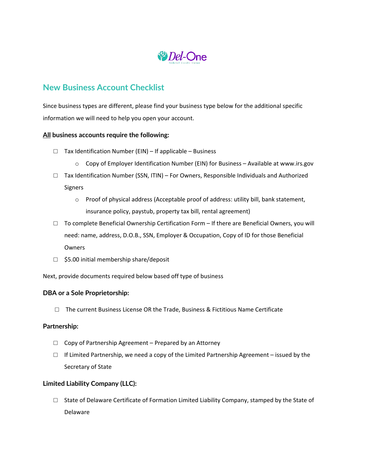

# **New Business Account Checklist**

Since business types are different, please find your business type below for the additional specific information we will need to help you open your account.

### **All business accounts require the following:**

- $\Box$  Tax Identification Number (EIN) If applicable Business
	- $\circ$  Copy of Employer Identification Number (EIN) for Business Available at www.irs.gov
- $\Box$  Tax Identification Number (SSN, ITIN) For Owners, Responsible Individuals and Authorized Signers
	- o Proof of physical address (Acceptable proof of address: utility bill, bank statement, insurance policy, paystub, property tax bill, rental agreement)
- $\Box$  To complete Beneficial Ownership Certification Form If there are Beneficial Owners, you will need: name, address, D.O.B., SSN, Employer & Occupation, Copy of ID for those Beneficial **Owners**
- □ \$5.00 initial membership share/deposit

Next, provide documents required below based off type of business

## **DBA or a Sole Proprietorship:**

 $\square$  The current Business License OR the Trade, Business & Fictitious Name Certificate

#### **Partnership:**

- $\Box$  Copy of Partnership Agreement Prepared by an Attorney
- $\Box$  If Limited Partnership, we need a copy of the Limited Partnership Agreement issued by the Secretary of State

## **Limited Liability Company (LLC):**

 $\Box$  State of Delaware Certificate of Formation Limited Liability Company, stamped by the State of Delaware